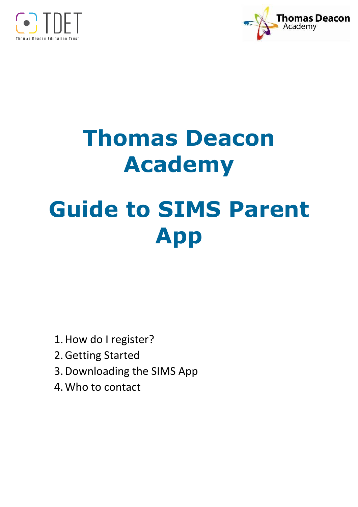



# **Thomas Deacon Academy Guide to SIMS Parent App**

- 1.How do I register?
- 2.Getting Started
- 3.Downloading the SIMS App
- 4.Who to contact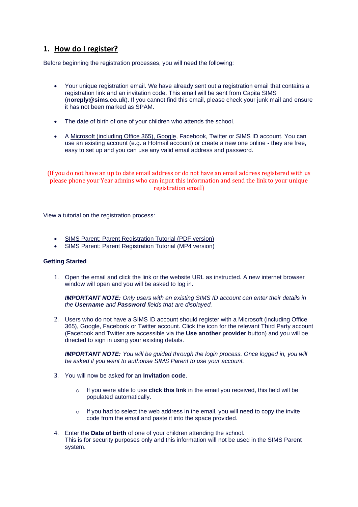## **1. How do I register?**

Before beginning the registration processes, you will need the following:

- Your unique registration email. We have already sent out a registration email that contains a registration link and an invitation code. This email will be sent from Capita SIMS (**noreply@sims.co.uk**). If you cannot find this email, please check your junk mail and ensure it has not been marked as SPAM.
- The date of birth of one of your children who attends the school.
- A [Microsoft \(including Office 365\), Google,](https://support.capitasoftware.com/csm?id=kb_article_view&sysparm_article=KB0035956) Facebook, Twitter or SIMS ID account. You can use an existing account (e.g. a Hotmail account) or create a new one online - they are free, easy to set up and you can use any valid email address and password.

(If you do not have an up to date email address or do not have an email address registered with us please phone your Year admins who can input this information and send the link to your unique registration email)

View a tutorial on the registration process:

- [SIMS Parent: Parent Registration Tutorial \(PDF version\)](https://support.capitasoftware.com/csm?id=kb_article_view&sysparm_article=KB0035993)
- [SIMS Parent: Parent Registration Tutorial \(MP4 version\)](https://support.capitasoftware.com/csm?id=kb_article_view&sysparm_article=KB0035994)

#### **Getting Started**

1. Open the email and click the link or the website URL as instructed. A new internet browser window will open and you will be asked to log in.

*IMPORTANT NOTE: Only users with an existing SIMS ID account can enter their details in the Username and Password fields that are displayed.*

2. Users who do not have a SIMS ID account should register with a Microsoft (including Office 365), Google, Facebook or Twitter account. Click the icon for the relevant Third Party account (Facebook and Twitter are accessible via the **Use another provider** button) and you will be directed to sign in using your existing details.

**IMPORTANT NOTE:** You will be quided through the login process. Once logged in, you will *be asked if you want to authorise SIMS Parent to use your account.*

- 3. You will now be asked for an **Invitation code**.
	- o If you were able to use **click this link** in the email you received, this field will be populated automatically.
	- o If you had to select the web address in the email, you will need to copy the invite code from the email and paste it into the space provided.
- 4. Enter the **Date of birth** of one of your children attending the school. This is for security purposes only and this information will not be used in the SIMS Parent system.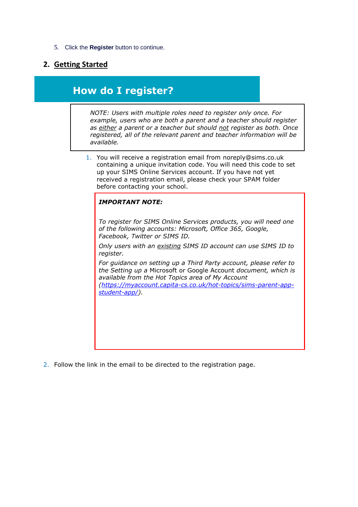#### 5. Click the **Register** button to continue.

## **2. Getting Started**

## **How do I register?**

*NOTE: Users with multiple roles need to register only once. For example, users who are both a parent and a teacher should register as either a parent or a teacher but should not register as both. Once registered, all of the relevant parent and teacher information will be available.*

1. You will receive a registration email from [noreply@sims.co.uk](mailto:noreply@sims.co.uk)  containing a unique invitation code. You will need this code to set up your SIMS Online Services account. If you have not yet received a registration email, please check your SPAM folder before contacting your school.

#### *IMPORTANT NOTE:*

*To register for SIMS Online Services products, you will need one of the following accounts: Microsoft, Office 365, Google, Facebook, Twitter or SIMS ID.*

*Only users with an existing SIMS ID account can use SIMS ID to register.*

*For guidance on setting up a Third Party account, please refer to the Setting up a* Microsoft or Google Account *document, which is available from the Hot Topics area of My Account* 

*[\(https://myaccount.capita-cs.co.uk/hot-topics/sims-parent-app](https://myaccount.capita-cs.co.uk/hot-topics/sims-parent-app-student-app/)[student-app/\)](https://myaccount.capita-cs.co.uk/hot-topics/sims-parent-app-student-app/).* 

2. Follow the link in the email to be directed to the registration page.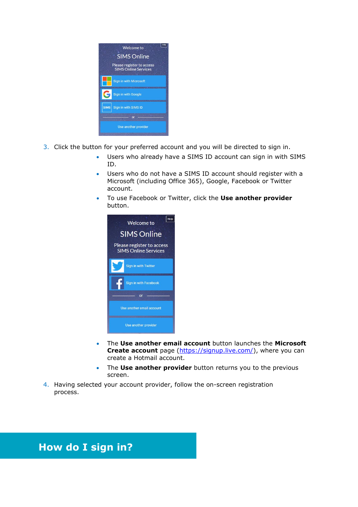

- 3. Click the button for your preferred account and you will be directed to sign in.
	- Users who already have a SIMS ID account can sign in with SIMS ID.
	- Users who do not have a SIMS ID account should register with a Microsoft (including Office 365), Google, Facebook or Twitter account.
	- To use Facebook or Twitter, click the **Use another provider**  button.



- The **Use another email account** button launches the **Microsoft**  Create account page [\(https://signup.live.com/\)](https://signup.live.com/), where you can create a Hotmail account.
- The **Use another provider** button returns you to the previous screen.
- 4. Having selected your account provider, follow the on-screen registration process.

# **How do I sign in?**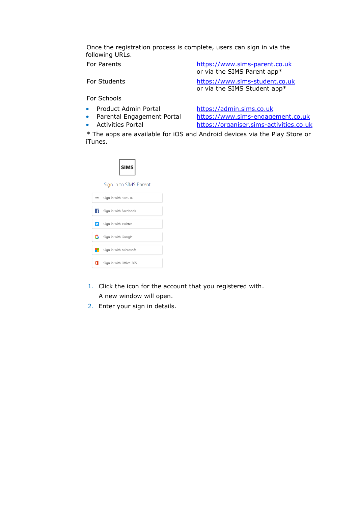Once the registration process is complete, users can sign in via the following URLs.

For Parents [https://www.sims-parent.co.uk](https://www.sims-parent.co.uk/) or via the SIMS Parent app\* For Students [https://www.sims-student.co.uk](https://www.sims-student.co.uk/) or via the SIMS Student app\*

For Schools

- Product Admin Portal [https://admin.sims.co.uk](https://admin.sims.co.uk/)
- Parental Engagement Portal [https://www.sims-engagement.co.uk](https://www.sims-engagement.co.uk/)

• Activities Portal [https://organiser.sims-activities.co.uk](https://organiser.sims-activities.co.uk/)

\* The apps are available for iOS and Android devices via the Play Store or iTunes.

|--|

Sign in to SIMS Parent

| <b>SIMS</b> | Sign in with SIMS ID    |
|-------------|-------------------------|
| ∣ £l        | Sign in with Facebook   |
| v           | Sign in with Twitter    |
|             | G Sign in with Google   |
|             | Sign in with Microsoft  |
|             | Sign in with Office 365 |

- 1. Click the icon for the account that you registered with. A new window will open.
- 2. Enter your sign in details.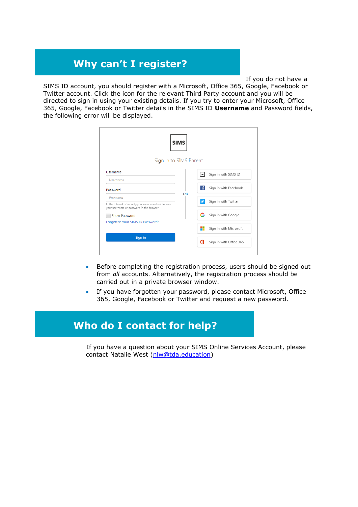# **Why can't I register?**

If you do not have a

SIMS ID account, you should register with a Microsoft, Office 365, Google, Facebook or Twitter account. Click the icon for the relevant Third Party account and you will be directed to sign in using your existing details. If you try to enter your Microsoft, Office 365, Google, Facebook or Twitter details in the SIMS ID **Username** and Password fields, the following error will be displayed.

|                                                                                 | <b>SIMS</b>            |             |                         |
|---------------------------------------------------------------------------------|------------------------|-------------|-------------------------|
|                                                                                 | Sign in to SIMS Parent |             |                         |
| Username<br><b>Username</b>                                                     |                        | <b>SIMS</b> | Sign in with SIMS ID    |
| Password<br>Password<br>In the interest of security you are advised not to save | <b>OR</b>              | Ŧ           | Sign in with Facebook   |
|                                                                                 |                        | ¥.          | Sign in with Twitter    |
| your username or password in the browser<br>Show Password                       |                        | G           | Sign in with Google     |
| Forgotten your SIMS ID Password?                                                |                        | ۳           | Sign in with Microsoft  |
| Sign in                                                                         |                        | п           | Sign in with Office 365 |

- Before completing the registration process, users should be signed out from *all* accounts. Alternatively, the registration process should be carried out in a private browser window.
- If you have forgotten your password, please contact Microsoft, Office 365, Google, Facebook or Twitter and request a new password.

# **Who do I contact for help?**

If you have a question about your SIMS Online Services Account, please contact Natalie West [\(nlw@tda.education\)](mailto:nlw@tda.education)